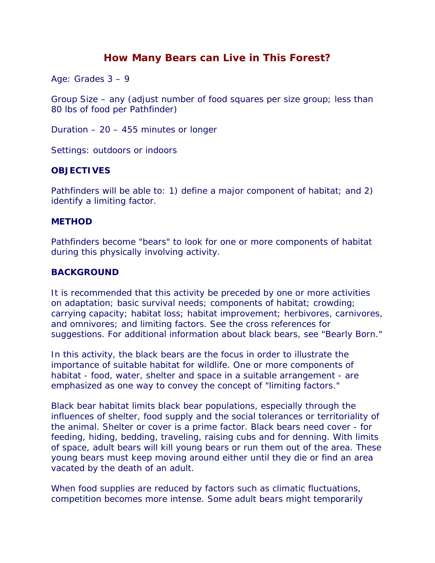# **How Many Bears can Live in This Forest?**

Age: Grades 3 – 9

Group Size – any (adjust number of food squares per size group; less than 80 lbs of food per Pathfinder)

Duration – 20 – 455 minutes or longer

Settings: outdoors or indoors

#### **OBJECTIVES**

Pathfinders will be able to: 1) define a major component of habitat; and 2) identify a limiting factor.

#### **METHOD**

Pathfinders become "bears" to look for one or more components of habitat during this physically involving activity.

## **BACKGROUND**

It is recommended that this activity be preceded by one or more activities on adaptation; basic survival needs; components of habitat; crowding; carrying capacity; habitat loss; habitat improvement; herbivores, carnivores, and omnivores; and limiting factors. See the cross references for suggestions. For additional information about black bears, see "Bearly Born."

In this activity, the black bears are the focus in order to illustrate the importance of suitable habitat for wildlife. One or more components of habitat - food, water, shelter and space in a suitable arrangement - are emphasized as one way to convey the concept of "limiting factors."

Black bear habitat limits black bear populations, especially through the influences of shelter, food supply and the social tolerances or territoriality of the animal. Shelter or cover is a prime factor. Black bears need cover - for feeding, hiding, bedding, traveling, raising cubs and for denning. With limits of space, adult bears will kill young bears or run them out of the area. These young bears must keep moving around either until they die or find an area vacated by the death of an adult.

When food supplies are reduced by factors such as climatic fluctuations, competition becomes more intense. Some adult bears might temporarily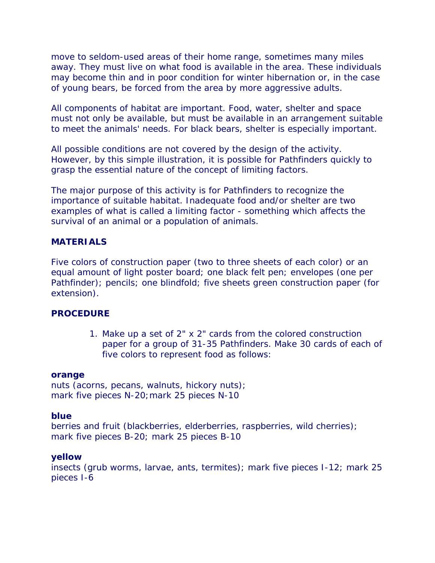move to seldom-used areas of their home range, sometimes many miles away. They must live on what food is available in the area. These individuals may become thin and in poor condition for winter hibernation or, in the case of young bears, be forced from the area by more aggressive adults.

All components of habitat are important. Food, water, shelter and space must not only be available, but must be available in an arrangement suitable to meet the animals' needs. For black bears, shelter is especially important.

All possible conditions are not covered by the design of the activity. However, by this simple illustration, it is possible for Pathfinders quickly to grasp the essential nature of the concept of limiting factors.

The major purpose of this activity is for Pathfinders to recognize the importance of suitable habitat. Inadequate food and/or shelter are two examples of what is called a limiting factor - something which affects the survival of an animal or a population of animals.

#### **MATERIALS**

Five colors of construction paper (two to three sheets of each color) or an equal amount of light poster board; one black felt pen; envelopes (one per Pathfinder); pencils; one blindfold; five sheets green construction paper (for extension).

#### **PROCEDURE**

1. Make up a set of 2" x 2" cards from the colored construction paper for a group of 31-35 Pathfinders. Make 30 cards of each of five colors to represent food as follows:

#### **orange**

nuts (acorns, pecans, walnuts, hickory nuts); mark five pieces N-20; mark 25 pieces N-10

#### **blue**

berries and fruit (blackberries, elderberries, raspberries, wild cherries); mark five pieces B-20; mark 25 pieces B-10

#### **yellow**

insects (grub worms, larvae, ants, termites); mark five pieces I-12; mark 25 pieces I-6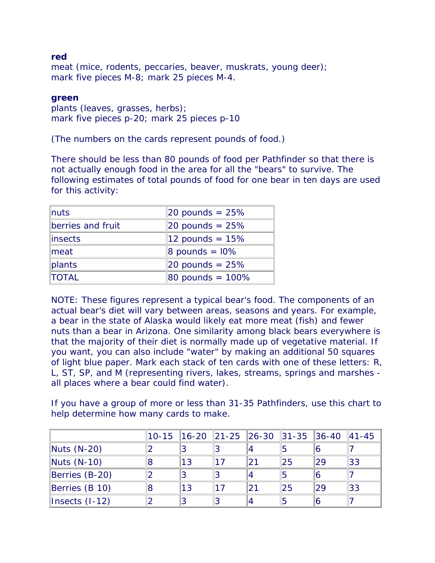### **red**

meat (mice, rodents, peccaries, beaver, muskrats, young deer); mark five pieces M-8; mark 25 pieces M-4.

## **green**

plants (leaves, grasses, herbs); mark five pieces p-20; mark 25 pieces p-10

(The numbers on the cards represent pounds of food.)

There should be less than 80 pounds of food per Pathfinder so that there is not actually enough food in the area for all the "bears" to survive. The following estimates of total pounds of food for one bear in ten days are used for this activity:

| $\lnuts$            | $ 20$ pounds = 25%              |
|---------------------|---------------------------------|
| berries and fruit   | $ 20$ pounds = 25%              |
| linsects            | 12 pounds = $15%$               |
| $\blacksquare$ meat | $\text{8 pounds} = \text{10\%}$ |
| plants              | $ 20$ pounds = 25%              |
| <b>TOTAL</b>        | 80 pounds = $100\%$             |

NOTE: These figures represent a typical bear's food. The components of an actual bear's diet will vary between areas, seasons and years. For example, a bear in the state of Alaska would likely eat more meat (fish) and fewer nuts than a bear in Arizona. One similarity among black bears everywhere is that the majority of their diet is normally made up of vegetative material. If you want, you can also include "water" by making an additional 50 squares of light blue paper. Mark each stack of ten cards with one of these letters: R, L, ST, SP, and M (representing rivers, lakes, streams, springs and marshes all places where a bear could find water).

If you have a group of more or less than 31-35 Pathfinders, use this chart to help determine how many cards to make.

|                    | 10-15   16-20   21-25   26-30   31-35   36-40 |  |    |    | $ 41 - 45 $ |
|--------------------|-----------------------------------------------|--|----|----|-------------|
| Nuts (N-20)        |                                               |  |    |    |             |
| Nuts (N-10)        | 13                                            |  | 25 | 29 | 33          |
| Berries (B-20)     |                                               |  |    |    |             |
| Berries (B 10)     | 13                                            |  | 25 | 29 | 33          |
| $ Insects (I-12) $ |                                               |  |    |    |             |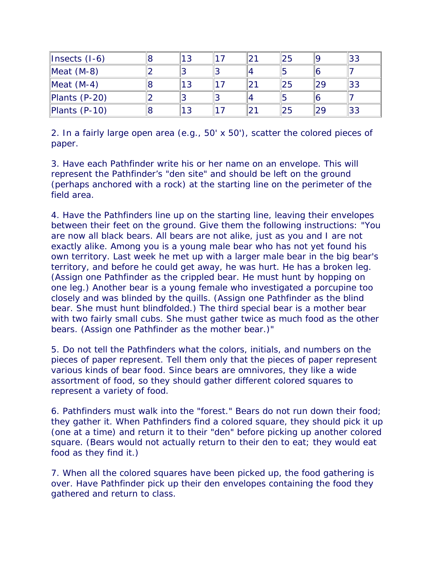| $\parallel$ Insects (I-6) |  |  | 25 | 33 |
|---------------------------|--|--|----|----|
| Meat $(M-8)$              |  |  |    |    |
| Meat $(M-4)$              |  |  | 25 | 33 |
| Plants (P-20)             |  |  |    |    |
| Plants (P-10)             |  |  | 25 | 33 |

2. In a fairly large open area (e.g., 50' x 50'), scatter the colored pieces of paper.

3. Have each Pathfinder write his or her name on an envelope. This will represent the Pathfinder's "den site" and should be left on the ground (perhaps anchored with a rock) at the starting line on the perimeter of the field area.

4. Have the Pathfinders line up on the starting line, leaving their envelopes between their feet on the ground. Give them the following instructions: "You are now all black bears. All bears are not alike, just as you and I are not exactly alike. Among you is a young male bear who has not yet found his own territory. Last week he met up with a larger male bear in the big bear's territory, and before he could get away, he was hurt. He has a broken leg. (Assign one Pathfinder as the crippled bear. He must hunt by hopping on one leg.) Another bear is a young female who investigated a porcupine too closely and was blinded by the quills. (Assign one Pathfinder as the blind bear. She must hunt blindfolded.) The third special bear is a mother bear with two fairly small cubs. She must gather twice as much food as the other bears. (Assign one Pathfinder as the mother bear.)"

5. Do not tell the Pathfinders what the colors, initials, and numbers on the pieces of paper represent. Tell them only that the pieces of paper represent various kinds of bear food. Since bears are omnivores, they like a wide assortment of food, so they should gather different colored squares to represent a variety of food.

6. Pathfinders must walk into the "forest." Bears do not run down their food; they gather it. When Pathfinders find a colored square, they should pick it up (one at a time) and return it to their "den" before picking up another colored square. (Bears would not actually return to their den to eat; they would eat food as they find it.)

7. When all the colored squares have been picked up, the food gathering is over. Have Pathfinder pick up their den envelopes containing the food they gathered and return to class.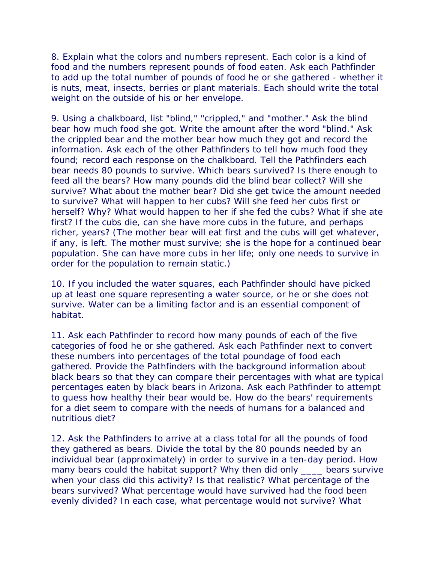8. Explain what the colors and numbers represent. Each color is a kind of food and the numbers represent pounds of food eaten. Ask each Pathfinder to add up the total number of pounds of food he or she gathered - whether it is nuts, meat, insects, berries or plant materials. Each should write the total weight on the outside of his or her envelope.

9. Using a chalkboard, list "blind," "crippled," and "mother." Ask the blind bear how much food she got. Write the amount after the word "blind." Ask the crippled bear and the mother bear how much they got and record the information. Ask each of the other Pathfinders to tell how much food they found; record each response on the chalkboard. Tell the Pathfinders each bear needs 80 pounds to survive. Which bears survived? Is there enough to feed all the bears? How many pounds did the blind bear collect? Will she survive? What about the mother bear? Did she get twice the amount needed to survive? What will happen to her cubs? Will she feed her cubs first or herself? Why? What would happen to her if she fed the cubs? What if she ate first? If the cubs die, can she have more cubs in the future, and perhaps richer, years? (The mother bear will eat first and the cubs will get whatever, if any, is left. The mother must survive; she is the hope for a continued bear population. She can have more cubs in her life; only one needs to survive in order for the population to remain static.)

10. If you included the water squares, each Pathfinder should have picked up at least one square representing a water source, or he or she does not survive. Water can be a limiting factor and is an essential component of habitat.

11. Ask each Pathfinder to record how many pounds of each of the five categories of food he or she gathered. Ask each Pathfinder next to convert these numbers into percentages of the total poundage of food each gathered. Provide the Pathfinders with the background information about black bears so that they can compare their percentages with what are typical percentages eaten by black bears in Arizona. Ask each Pathfinder to attempt to guess how healthy their bear would be. How do the bears' requirements for a diet seem to compare with the needs of humans for a balanced and nutritious diet?

12. Ask the Pathfinders to arrive at a class total for all the pounds of food they gathered as bears. Divide the total by the 80 pounds needed by an individual bear (approximately) in order to survive in a ten-day period. How many bears could the habitat support? Why then did only elears survive when your class did this activity? Is that realistic? What percentage of the bears survived? What percentage would have survived had the food been evenly divided? In each case, what percentage would not survive? What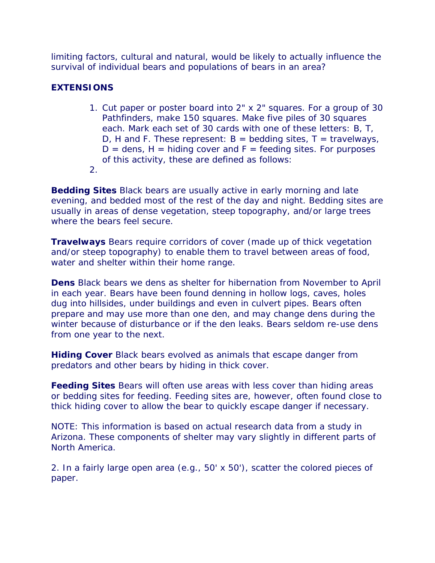limiting factors, cultural and natural, would be likely to actually influence the survival of individual bears and populations of bears in an area?

## **EXTENSIONS**

- 1. Cut paper or poster board into 2" x 2" squares. For a group of 30 Pathfinders, make 150 squares. Make five piles of 30 squares each. Mark each set of 30 cards with one of these letters: B, T, D, H and F. These represent:  $B =$  bedding sites,  $T =$  travelways,  $D =$  dens,  $H =$  hiding cover and  $F =$  feeding sites. For purposes of this activity, these are defined as follows:
- 2.

**Bedding Sites** Black bears are usually active in early morning and late evening, and bedded most of the rest of the day and night. Bedding sites are usually in areas of dense vegetation, steep topography, and/or large trees where the bears feel secure.

**Travelways** Bears require corridors of cover (made up of thick vegetation and/or steep topography) to enable them to travel between areas of food, water and shelter within their home range.

**Dens** Black bears we dens as shelter for hibernation from November to April in each year. Bears have been found denning in hollow logs, caves, holes dug into hillsides, under buildings and even in culvert pipes. Bears often prepare and may use more than one den, and may change dens during the winter because of disturbance or if the den leaks. Bears seldom re-use dens from one year to the next.

**Hiding Cover** Black bears evolved as animals that escape danger from predators and other bears by hiding in thick cover.

**Feeding Sites** Bears will often use areas with less cover than hiding areas or bedding sites for feeding. Feeding sites are, however, often found close to thick hiding cover to allow the bear to quickly escape danger if necessary.

NOTE: This information is based on actual research data from a study in Arizona. These components of shelter may vary slightly in different parts of North America.

2. In a fairly large open area (e.g., 50' x 50'), scatter the colored pieces of paper.